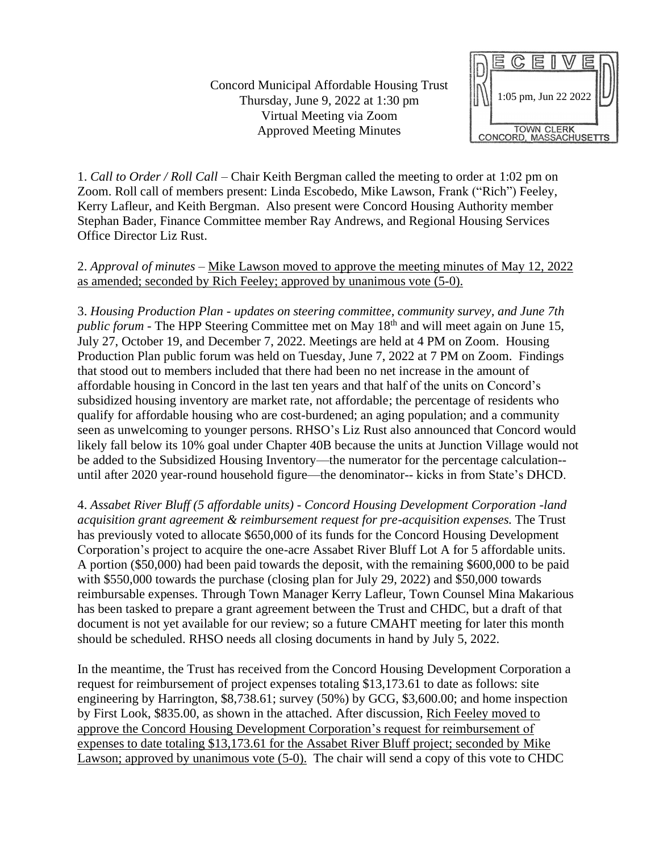Concord Municipal Affordable Housing Trust Thursday, June 9, 2022 at 1:30 pm Virtual Meeting via Zoom Approved Meeting Minutes



1. *Call to Order / Roll Call* – Chair Keith Bergman called the meeting to order at 1:02 pm on Zoom. Roll call of members present: Linda Escobedo, Mike Lawson, Frank ("Rich") Feeley, Kerry Lafleur, and Keith Bergman. Also present were Concord Housing Authority member Stephan Bader, Finance Committee member Ray Andrews, and Regional Housing Services Office Director Liz Rust.

2. *Approval of minutes* – Mike Lawson moved to approve the meeting minutes of May 12, 2022 as amended; seconded by Rich Feeley; approved by unanimous vote (5-0).

3. *Housing Production Plan - updates on steering committee, community survey, and June 7th public forum* - The HPP Steering Committee met on May 18<sup>th</sup> and will meet again on June 15, July 27, October 19, and December 7, 2022. Meetings are held at 4 PM on Zoom. Housing Production Plan public forum was held on Tuesday, June 7, 2022 at 7 PM on Zoom. Findings that stood out to members included that there had been no net increase in the amount of affordable housing in Concord in the last ten years and that half of the units on Concord's subsidized housing inventory are market rate, not affordable; the percentage of residents who qualify for affordable housing who are cost-burdened; an aging population; and a community seen as unwelcoming to younger persons. RHSO's Liz Rust also announced that Concord would likely fall below its 10% goal under Chapter 40B because the units at Junction Village would not be added to the Subsidized Housing Inventory—the numerator for the percentage calculation- until after 2020 year-round household figure—the denominator-- kicks in from State's DHCD.

4. *Assabet River Bluff (5 affordable units) - Concord Housing Development Corporation -land acquisition grant agreement & reimbursement request for pre-acquisition expenses.* The Trust has previously voted to allocate \$650,000 of its funds for the Concord Housing Development Corporation's project to acquire the one-acre Assabet River Bluff Lot A for 5 affordable units. A portion (\$50,000) had been paid towards the deposit, with the remaining \$600,000 to be paid with \$550,000 towards the purchase (closing plan for July 29, 2022) and \$50,000 towards reimbursable expenses. Through Town Manager Kerry Lafleur, Town Counsel Mina Makarious has been tasked to prepare a grant agreement between the Trust and CHDC, but a draft of that document is not yet available for our review; so a future CMAHT meeting for later this month should be scheduled. RHSO needs all closing documents in hand by July 5, 2022.

In the meantime, the Trust has received from the Concord Housing Development Corporation a request for reimbursement of project expenses totaling \$13,173.61 to date as follows: site engineering by Harrington, \$8,738.61; survey (50%) by GCG, \$3,600.00; and home inspection by First Look, \$835.00, as shown in the attached. After discussion, Rich Feeley moved to approve the Concord Housing Development Corporation's request for reimbursement of expenses to date totaling \$13,173.61 for the Assabet River Bluff project; seconded by Mike Lawson; approved by unanimous vote (5-0). The chair will send a copy of this vote to CHDC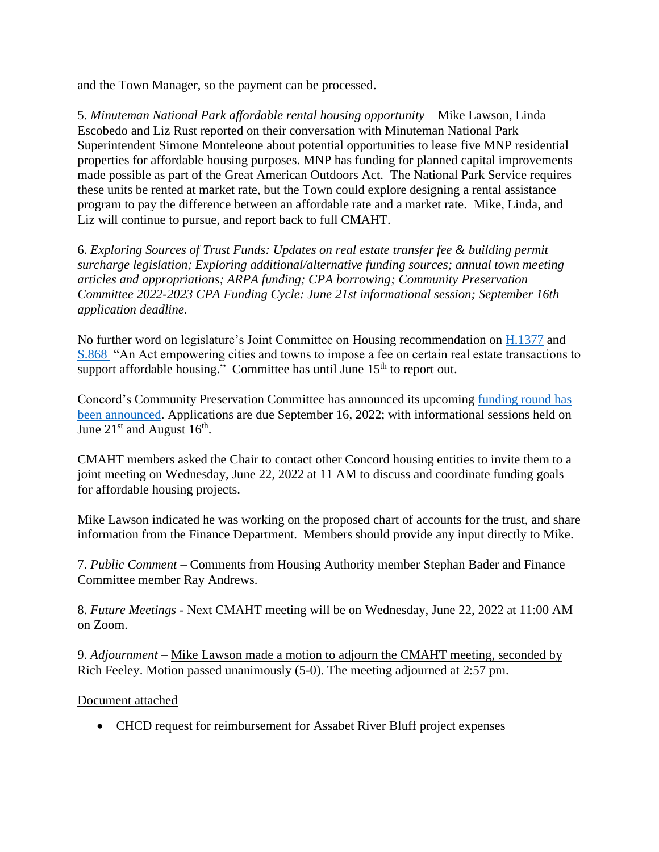and the Town Manager, so the payment can be processed.

5. *Minuteman National Park affordable rental housing opportunity –* Mike Lawson, Linda Escobedo and Liz Rust reported on their conversation with Minuteman National Park Superintendent Simone Monteleone about potential opportunities to lease five MNP residential properties for affordable housing purposes. MNP has funding for planned capital improvements made possible as part of the Great American Outdoors Act. The National Park Service requires these units be rented at market rate, but the Town could explore designing a rental assistance program to pay the difference between an affordable rate and a market rate. Mike, Linda, and Liz will continue to pursue, and report back to full CMAHT.

6. *Exploring Sources of Trust Funds: Updates on real estate transfer fee & building permit surcharge legislation; Exploring additional/alternative funding sources; annual town meeting articles and appropriations; ARPA funding; CPA borrowing; Community Preservation Committee 2022-2023 CPA Funding Cycle: June 21st informational session; September 16th application deadline.*

No further word on legislature's Joint Committee on Housing recommendation on [H.1377](https://malegislature.gov/Bills/192/H1377) and [S.868](https://malegislature.gov/Bills/192/S868) "An Act empowering cities and towns to impose a fee on certain real estate transactions to support affordable housing." Committee has until June 15<sup>th</sup> to report out.

Concord's Community Preservation Committee has announced its upcoming [funding round](https://www.concordma.gov/CivicAlerts.aspx?AID=1295) has [been announced.](https://www.concordma.gov/CivicAlerts.aspx?AID=1295) Applications are due September 16, 2022; with informational sessions held on June  $21<sup>st</sup>$  and August  $16<sup>th</sup>$ .

CMAHT members asked the Chair to contact other Concord housing entities to invite them to a joint meeting on Wednesday, June 22, 2022 at 11 AM to discuss and coordinate funding goals for affordable housing projects.

Mike Lawson indicated he was working on the proposed chart of accounts for the trust, and share information from the Finance Department. Members should provide any input directly to Mike.

7. *Public Comment –* Comments from Housing Authority member Stephan Bader and Finance Committee member Ray Andrews.

8. *Future Meetings* - Next CMAHT meeting will be on Wednesday, June 22, 2022 at 11:00 AM on Zoom.

9. *Adjournment* – Mike Lawson made a motion to adjourn the CMAHT meeting, seconded by Rich Feeley. Motion passed unanimously (5-0). The meeting adjourned at 2:57 pm.

Document attached

• CHCD request for reimbursement for Assabet River Bluff project expenses